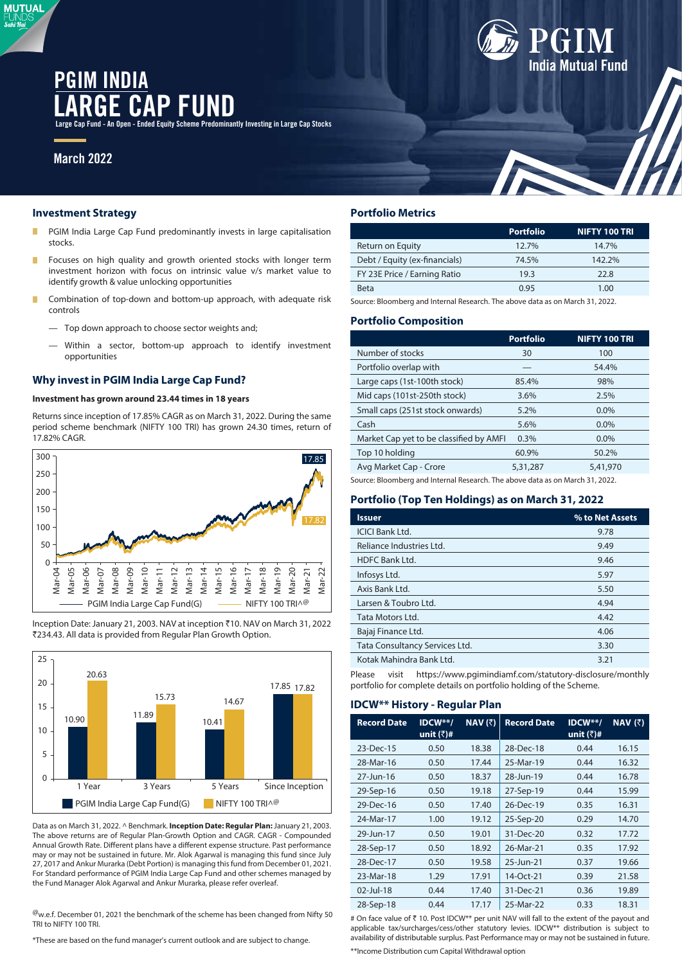# P FUND **PGIM INDIA**

Fund - An Open - Ended Equity Scheme Predominantly Investing in Large Cap Stocks

## **March 2022**

**MUTUAL** Sabi Ha

#### **Investment Strategy**

- PGIM India Large Cap Fund predominantly invests in large capitalisation Г stocks.
- П Focuses on high quality and growth oriented stocks with longer term investment horizon with focus on intrinsic value v/s market value to identify growth & value unlocking opportunities
- m. Combination of top-down and bottom-up approach, with adequate risk controls
	- Top down approach to choose sector weights and;
	- Within a sector, bottom-up approach to identify investment opportunities

## **Why invest in PGIM India Large Cap Fund?**

## **Investment has grown around 23.44 times in 18 years**

Returns since inception of 17.85% CAGR as on March 31, 2022. During the same period scheme benchmark (NIFTY 100 TRI) has grown 24.30 times, return of 17.82% CAGR.



Inception Date: January 21, 2003. NAV at inception `10. NAV on March 31, 2022 ₹234.43. All data is provided from Regular Plan Growth Option.



Data as on March 31, 2022. ^ Benchmark. **Inception Date: Regular Plan:** January 21, 2003. The above returns are of Regular Plan-Growth Option and CAGR. CAGR - Compounded Annual Growth Rate. Different plans have a different expense structure. Past performance may or may not be sustained in future. Mr. Alok Agarwal is managing this fund since July 27, 2017 and Ankur Murarka (Debt Portion) is managing this fund from December 01, 2021. For Standard performance of PGIM India Large Cap Fund and other schemes managed by the Fund Manager Alok Agarwal and Ankur Murarka, please refer overleaf.

 $^{\textregistered}$ w.e.f. December 01, 2021 the benchmark of the scheme has been changed from Nifty 50 TRI to NIFTY 100 TRI.

\*These are based on the fund manager's current outlook and are subject to change.

## **Portfolio Metrics**

|                               | <b>Portfolio</b> | <b>NIFTY 100 TRI</b> |
|-------------------------------|------------------|----------------------|
| Return on Equity              | 12.7%            | 14.7%                |
| Debt / Equity (ex-financials) | 74.5%            | 142.2%               |
| FY 23E Price / Earning Ratio  | 19.3             | 22.8                 |
| <b>Beta</b>                   | 0.95             | 1.00                 |

**India Mutual Fund** 

Source: Bloomberg and Internal Research. The above data as on March 31, 2022.

#### **Portfolio Composition**

|                                                                               | <b>Portfolio</b> | <b>NIFTY 100 TRI</b> |  |  |  |
|-------------------------------------------------------------------------------|------------------|----------------------|--|--|--|
| Number of stocks                                                              | 30               | 100                  |  |  |  |
| Portfolio overlap with                                                        |                  | 54.4%                |  |  |  |
| Large caps (1st-100th stock)                                                  | 85.4%            | 98%                  |  |  |  |
| Mid caps (101st-250th stock)                                                  | 3.6%             | 2.5%                 |  |  |  |
| Small caps (251st stock onwards)                                              | 5.2%             | $0.0\%$              |  |  |  |
| Cash                                                                          | 5.6%             | $0.0\%$              |  |  |  |
| Market Cap yet to be classified by AMFI                                       | 0.3%             | $0.0\%$              |  |  |  |
| Top 10 holding                                                                | 60.9%            | 50.2%                |  |  |  |
| Avg Market Cap - Crore                                                        | 5,31,287         | 5,41,970             |  |  |  |
| Source: Bloomberg and Internal Research. The above data as on March 31, 2022. |                  |                      |  |  |  |

#### **Portfolio (Top Ten Holdings) as on March 31, 2022**

| <b>Issuer</b>                  | % to Net Assets |
|--------------------------------|-----------------|
| <b>ICICI Bank Ltd.</b>         | 9.78            |
| Reliance Industries Ltd.       | 9.49            |
| <b>HDFC Bank Ltd.</b>          | 9.46            |
| Infosys Ltd.                   | 5.97            |
| Axis Bank Ltd.                 | 5.50            |
| Larsen & Toubro Ltd.           | 4.94            |
| Tata Motors Ltd.               | 4.42            |
| Bajaj Finance Ltd.             | 4.06            |
| Tata Consultancy Services Ltd. | 3.30            |
| Kotak Mahindra Bank Ltd.       | 3.21            |

Please visit https://www.pgimindiamf.com/statutory-disclosure/monthly portfolio for complete details on portfolio holding of the Scheme.

## **IDCW\*\* History - Regular Plan**

| <b>Record Date</b> | $IDCW**/$<br>unit $(\bar{z})$ # | $NAV$ $(3)$ | <b>Record Date</b> | $IDCW**/$<br>unit $(\bar{z})$ # | $NAV$ (₹) |
|--------------------|---------------------------------|-------------|--------------------|---------------------------------|-----------|
| 23-Dec-15          | 0.50                            | 18.38       | 28-Dec-18          | 0.44                            | 16.15     |
| 28-Mar-16          | 0.50                            | 17.44       | 25-Mar-19          | 0.44                            | 16.32     |
| 27-Jun-16          | 0.50                            | 18.37       | 28-Jun-19          | 0.44                            | 16.78     |
| 29-Sep-16          | 0.50                            | 19.18       | 27-Sep-19          | 0.44                            | 15.99     |
| 29-Dec-16          | 0.50                            | 17.40       | 26-Dec-19          | 0.35                            | 16.31     |
| 24-Mar-17          | 1.00                            | 19.12       | 25-Sep-20          | 0.29                            | 14.70     |
| 29-Jun-17          | 0.50                            | 19.01       | 31-Dec-20          | 0.32                            | 17.72     |
| 28-Sep-17          | 0.50                            | 18.92       | 26-Mar-21          | 0.35                            | 17.92     |
| 28-Dec-17          | 0.50                            | 19.58       | 25-Jun-21          | 0.37                            | 19.66     |
| 23-Mar-18          | 1.29                            | 17.91       | 14-Oct-21          | 0.39                            | 21.58     |
| $02$ -Jul-18       | 0.44                            | 17.40       | 31-Dec-21          | 0.36                            | 19.89     |
| 28-Sep-18          | 0.44                            | 17.17       | 25-Mar-22          | 0.33                            | 18.31     |

# On face value of ₹ 10. Post IDCW<sup>\*\*</sup> per unit NAV will fall to the extent of the payout and applicable tax/surcharges/cess/other statutory levies. IDCW\*\* distribution is subject to availability of distributable surplus. Past Performance may or may not be sustained in future.

\*\*Income Distribution cum Capital Withdrawal option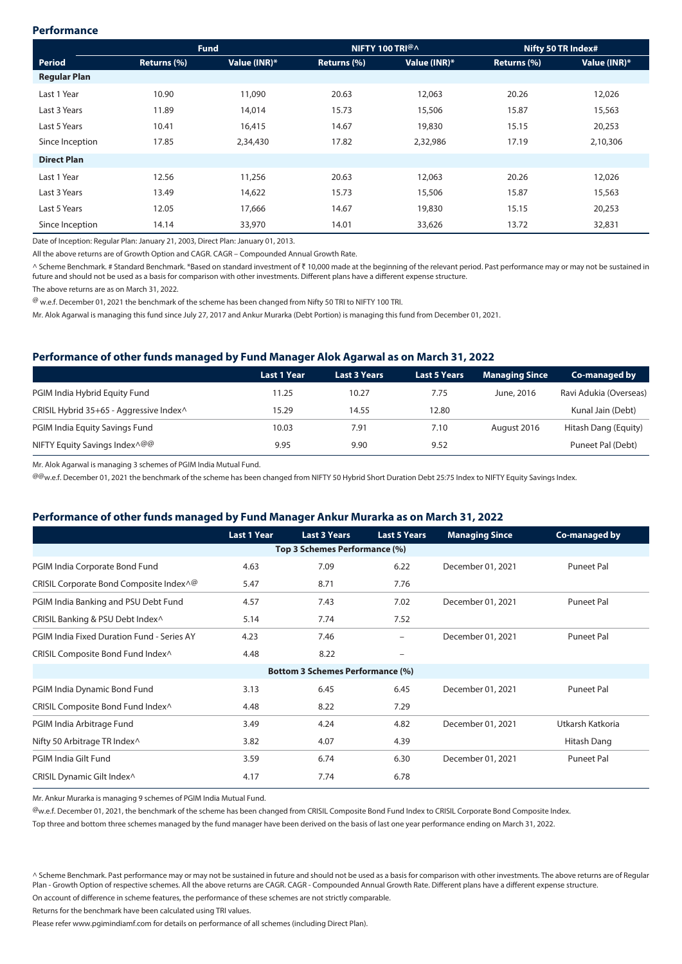## **Performance**

|                     | <b>Fund</b> |              | NIFTY 100 TRI@A |              | Nifty 50 TR Index# |              |
|---------------------|-------------|--------------|-----------------|--------------|--------------------|--------------|
| Period              | Returns (%) | Value (INR)* | Returns (%)     | Value (INR)* | Returns (%)        | Value (INR)* |
| <b>Regular Plan</b> |             |              |                 |              |                    |              |
| Last 1 Year         | 10.90       | 11,090       | 20.63           | 12,063       | 20.26              | 12,026       |
| Last 3 Years        | 11.89       | 14,014       | 15.73           | 15,506       | 15.87              | 15,563       |
| Last 5 Years        | 10.41       | 16,415       | 14.67           | 19,830       | 15.15              | 20,253       |
| Since Inception     | 17.85       | 2,34,430     | 17.82           | 2,32,986     | 17.19              | 2,10,306     |
| <b>Direct Plan</b>  |             |              |                 |              |                    |              |
| Last 1 Year         | 12.56       | 11,256       | 20.63           | 12,063       | 20.26              | 12,026       |
| Last 3 Years        | 13.49       | 14,622       | 15.73           | 15,506       | 15.87              | 15,563       |
| Last 5 Years        | 12.05       | 17,666       | 14.67           | 19,830       | 15.15              | 20,253       |
| Since Inception     | 14.14       | 33,970       | 14.01           | 33,626       | 13.72              | 32,831       |

Date of Inception: Regular Plan: January 21, 2003, Direct Plan: January 01, 2013.

All the above returns are of Growth Option and CAGR. CAGR – Compounded Annual Growth Rate.

^ Scheme Benchmark. # Standard Benchmark. \*Based on standard investment of ₹ 10,000 made at the beginning of the relevant period. Past performance may or may not be sustained in future and should not be used as a basis for comparison with other investments. Different plans have a different expense structure.

The above returns are as on March 31, 2022.

@ w.e.f. December 01, 2021 the benchmark of the scheme has been changed from Nifty 50 TRI to NIFTY 100 TRI.

Mr. Alok Agarwal is managing this fund since July 27, 2017 and Ankur Murarka (Debt Portion) is managing this fund from December 01, 2021.

## **Performance of other funds managed by Fund Manager Alok Agarwal as on March 31, 2022**

|                                          | <b>Last 1 Year</b> | <b>Last 3 Years</b> | <b>Last 5 Years</b> | <b>Managing Since</b> | Co-managed by          |
|------------------------------------------|--------------------|---------------------|---------------------|-----------------------|------------------------|
| PGIM India Hybrid Equity Fund            | 11.25              | 10.27               | 7.75                | June, 2016            | Ravi Adukia (Overseas) |
| CRISIL Hybrid 35+65 - Aggressive Index^  | 15.29              | 14.55               | 12.80               |                       | Kunal Jain (Debt)      |
| PGIM India Equity Savings Fund           | 10.03              | 7.91                | 7.10                | August 2016           | Hitash Dang (Equity)   |
| NIFTY Equity Savings Index <sup>Q@</sup> | 9.95               | 9.90                | 9.52                |                       | Puneet Pal (Debt)      |

Mr. Alok Agarwal is managing 3 schemes of PGIM India Mutual Fund.

@@w.e.f. December 01, 2021 the benchmark of the scheme has been changed from NIFTY 50 Hybrid Short Duration Debt 25:75 Index to NIFTY Equity Savings Index.

## **Performance of other funds managed by Fund Manager Ankur Murarka as on March 31, 2022**

|                                                                       | <b>Last 1 Year</b> | <b>Last 3 Years</b>                     | <b>Last 5 Years</b> | <b>Managing Since</b> | Co-managed by     |  |  |  |
|-----------------------------------------------------------------------|--------------------|-----------------------------------------|---------------------|-----------------------|-------------------|--|--|--|
| Top 3 Schemes Performance (%)                                         |                    |                                         |                     |                       |                   |  |  |  |
| PGIM India Corporate Bond Fund                                        | 4.63               | 7.09                                    | 6.22                | December 01, 2021     | <b>Puneet Pal</b> |  |  |  |
| CRISIL Corporate Bond Composite Index <sup><math>\wedge</math>@</sup> | 5.47               | 8.71                                    | 7.76                |                       |                   |  |  |  |
| PGIM India Banking and PSU Debt Fund                                  | 4.57               | 7.43                                    | 7.02                | December 01, 2021     | <b>Puneet Pal</b> |  |  |  |
| CRISIL Banking & PSU Debt Index^                                      | 5.14               | 7.74                                    | 7.52                |                       |                   |  |  |  |
| PGIM India Fixed Duration Fund - Series AY                            | 4.23               | 7.46                                    | $\qquad \qquad -$   | December 01, 2021     | <b>Puneet Pal</b> |  |  |  |
| CRISIL Composite Bond Fund Index^                                     | 4.48               | 8.22                                    | $\qquad \qquad -$   |                       |                   |  |  |  |
|                                                                       |                    | <b>Bottom 3 Schemes Performance (%)</b> |                     |                       |                   |  |  |  |
| PGIM India Dynamic Bond Fund                                          | 3.13               | 6.45                                    | 6.45                | December 01, 2021     | <b>Puneet Pal</b> |  |  |  |
| CRISIL Composite Bond Fund Index^                                     | 4.48               | 8.22                                    | 7.29                |                       |                   |  |  |  |
| PGIM India Arbitrage Fund                                             | 3.49               | 4.24                                    | 4.82                | December 01, 2021     | Utkarsh Katkoria  |  |  |  |
| Nifty 50 Arbitrage TR Index^                                          | 3.82               | 4.07                                    | 4.39                |                       | Hitash Dang       |  |  |  |
| PGIM India Gilt Fund                                                  | 3.59               | 6.74                                    | 6.30                | December 01, 2021     | <b>Puneet Pal</b> |  |  |  |
| CRISIL Dynamic Gilt Index^                                            | 4.17               | 7.74                                    | 6.78                |                       |                   |  |  |  |

Mr. Ankur Murarka is managing 9 schemes of PGIM India Mutual Fund.

@w.e.f. December 01, 2021, the benchmark of the scheme has been changed from CRISIL Composite Bond Fund Index to CRISIL Corporate Bond Composite Index.

Top three and bottom three schemes managed by the fund manager have been derived on the basis of last one year performance ending on March 31, 2022.

^ Scheme Benchmark. Past performance may or may not be sustained in future and should not be used as a basis for comparison with other investments. The above returns are of Reqular Plan - Growth Option of respective schemes. All the above returns are CAGR. CAGR - Compounded Annual Growth Rate. Different plans have a different expense structure.

On account of difference in scheme features, the performance of these schemes are not strictly comparable.

Returns for the benchmark have been calculated using TRI values.

Please refer www.pgimindiamf.com for details on performance of all schemes (including Direct Plan).